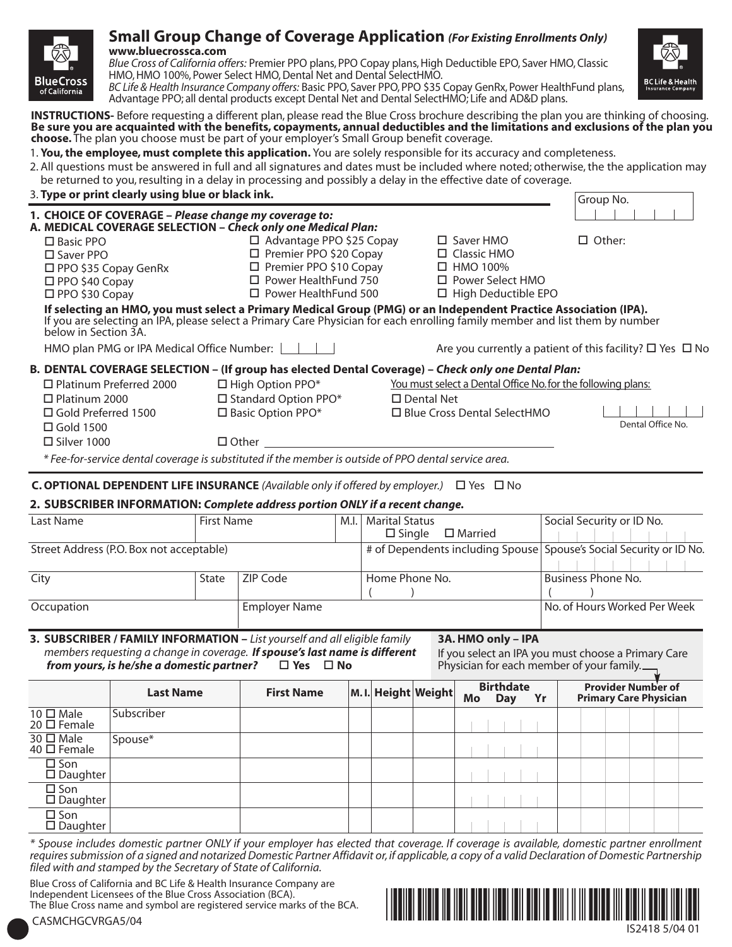

# **Small Group Change of Coverage Application** *(For Existing Enrollments Only)* **www.bluecrossca.com**

*Blue Cross of California offers:* Premier PPO plans, PPO Copay plans, High Deductible EPO, Saver HMO, Classic HMO, HMO 100%, Power Select HMO, Dental Net and Dental SelectHMO.

*BC Life & Health Insurance Company offers:* Basic PPO, Saver PPO, PPO \$35 Copay GenRx, Power HealthFund plans, Advantage PPO; all dental products except Dental Net and Dental SelectHMO; Life and AD&D plans.

**INSTRUCTIONS-** Before requesting a different plan, please read the Blue Cross brochure describing the plan you are thinking of choosing. **Be sure you are acquainted with the benefits, copayments, annual deductibles and the limitations and exclusions of the plan you choose.** The plan you choose must be part of your employer's Small Group benefit coverage.

1. **You, the employee, must complete this application.** You are solely responsible for its accuracy and completeness.

2. All questions must be answered in full and all signatures and dates must be included where noted; otherwise, the the application may be returned to you, resulting in a delay in processing and possibly a delay in the effective date of coverage.

# 3. **Type or print clearly using blue or black ink.** Group No. **Group No. 6 (Group No. 6 (Group No. 6 (Group No.**

|                                                                                                                             |                                                                                                                                                                    |                                                                                                                                                                                                                                                  | Group No.                                                          |
|-----------------------------------------------------------------------------------------------------------------------------|--------------------------------------------------------------------------------------------------------------------------------------------------------------------|--------------------------------------------------------------------------------------------------------------------------------------------------------------------------------------------------------------------------------------------------|--------------------------------------------------------------------|
| 1. CHOICE OF COVERAGE - Please change my coverage to:<br>A. MEDICAL COVERAGE SELECTION - Check only one Medical Plan:       |                                                                                                                                                                    |                                                                                                                                                                                                                                                  |                                                                    |
| $\Box$ Basic PPO<br>$\square$ Saver PPO<br>$\square$ PPO \$35 Copay GenRx<br>$\Box$ PPO \$40 Copay<br>$\Box$ PPO \$30 Copay | $\Box$ Advantage PPO \$25 Copay<br>$\Box$ Premier PPO \$20 Copay<br>$\Box$ Premier PPO \$10 Copay<br>$\square$ Power HealthFund 750<br>$\Box$ Power HealthFund 500 | $\Box$ Saver HMO<br>$\Box$ Classic HMO<br>$\Box$ HMO 100%<br>$\Box$ Power Select HMO<br>$\Box$ High Deductible EPO                                                                                                                               | $\Box$ Other:                                                      |
| below in Section 3A.                                                                                                        |                                                                                                                                                                    | If selecting an HMO, you must select a Primary Medical Group (PMG) or an Independent Practice Association (IPA).<br>If you are selecting an IPA, please select a Primary Care Physician for each enrolling family member and list them by number |                                                                    |
| HMO plan PMG or IPA Medical Office Number:                                                                                  |                                                                                                                                                                    |                                                                                                                                                                                                                                                  | Are you currently a patient of this facility? $\Box$ Yes $\Box$ No |
|                                                                                                                             |                                                                                                                                                                    | B. DENTAL COVERAGE SELECTION - (If group has elected Dental Coverage) - Check only one Dental Plan:                                                                                                                                              |                                                                    |
| $\Box$ Platinum Preferred 2000<br>$\Box$ Platinum 2000                                                                      | $\Box$ High Option PPO*<br>$\Box$ Standard Option PPO*                                                                                                             | You must select a Dental Office No. for the following plans:<br>$\square$ Dental Net                                                                                                                                                             |                                                                    |
| $\Box$ Gold Preferred 1500<br>$\Box$ Gold 1500                                                                              | $\square$ Basic Option PPO*                                                                                                                                        | □ Blue Cross Dental SelectHMO                                                                                                                                                                                                                    | Dental Office No.                                                  |
| $\Box$ Silver 1000                                                                                                          | $\Box$ Other and $\Box$ Other and $\Box$                                                                                                                           |                                                                                                                                                                                                                                                  |                                                                    |
|                                                                                                                             | * Fee-for-service dental coverage is substituted if the member is outside of PPO dental service area.                                                              |                                                                                                                                                                                                                                                  |                                                                    |
| <b>C. OPTIONAL DEPENDENT LIFE INSURANCE</b> (Available only if offered by employer.)                                        |                                                                                                                                                                    | □ Yes □ No                                                                                                                                                                                                                                       |                                                                    |

# **2. SUBSCRIBER INFORMATION:** *Complete address portion ONLY if a recent change.*

| <b>First Name</b><br>Last Name           |       |               | M.I. | <b>Marital Status</b>                                               | Social Security or ID No.    |  |  |
|------------------------------------------|-------|---------------|------|---------------------------------------------------------------------|------------------------------|--|--|
|                                          |       |               |      | $\square$ Married<br>$\square$ Single                               |                              |  |  |
| Street Address (P.O. Box not acceptable) |       |               |      | # of Dependents including Spouse Spouse's Social Security or ID No. |                              |  |  |
| City                                     | State | ZIP Code      |      | Home Phone No.                                                      | Business Phone No.           |  |  |
| Occupation                               |       | Employer Name |      |                                                                     | No. of Hours Worked Per Week |  |  |

#### **3. SUBSCRIBER / FAMILY INFORMATION –** *List yourself and all eligible family members requesting a change in coverage. If spouse's last name is different from yours, is he/she a domestic partner?*

**3A. HMO only – IPA** If you select an IPA you must choose a Primary Care Physician for each member of your family.

|                                       | <b>Last Name</b> | <b>First Name</b> |  | M. I. Height Weight | <b>Birthdate</b><br>Mo<br>Yr<br>Day |  | <b>Provider Number of</b><br><b>Primary Care Physician</b> |  |
|---------------------------------------|------------------|-------------------|--|---------------------|-------------------------------------|--|------------------------------------------------------------|--|
| 10 □ Male<br>$20 \square$ Female      | Subscriber       |                   |  |                     |                                     |  |                                                            |  |
| $30 \square$ Male<br>40 $\Box$ Female | Spouse*          |                   |  |                     |                                     |  |                                                            |  |
| $\square$ Son<br>$\square$ Daughter   |                  |                   |  |                     |                                     |  |                                                            |  |
| $\square$ Son<br>$\square$ Daughter   |                  |                   |  |                     |                                     |  |                                                            |  |
| $\square$ Son<br>$\square$ Daughter   |                  |                   |  |                     |                                     |  |                                                            |  |

*\* Spouse includes domestic partner ONLY if your employer has elected that coverage. If coverage is available, domestic partner enrollment requires submission of a signed and notarized Domestic Partner Affidavit or, if applicable, a copy of a valid Declaration of Domestic Partnership filed with and stamped by the Secretary of State of California.*

Blue Cross of California and BC Life & Health Insurance Company are Independent Licensees of the Blue Cross Association (BCA). The Blue Cross name and symbol are registered service marks of the BCA.



CASMCHGCVRGA5/04